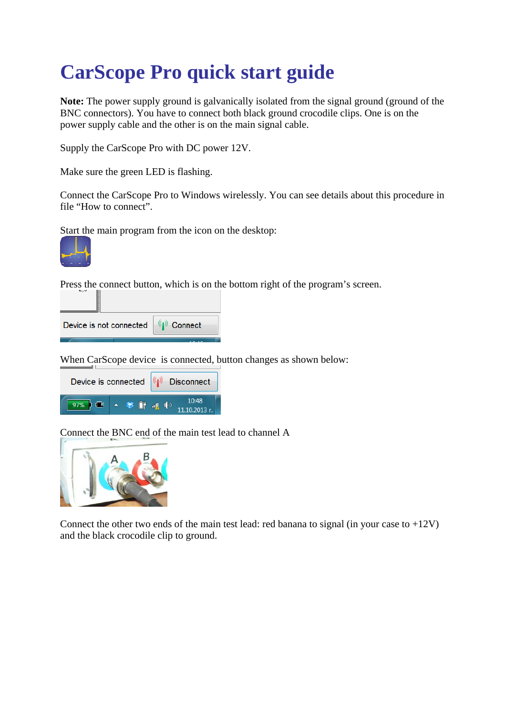## **CarScope Pro quick start guide**

**Note:** The power supply ground is galvanically isolated from the signal ground (ground of the BNC connectors). You have to connect both black ground crocodile clips. One is on the power supply cable and the other is on the main signal cable.

Supply the CarScope Pro with DC power 12V.

Make sure the green LED is flashing.

Connect the CarScope Pro to Windows wirelessly. You can see details about this procedure in file "How to connect".

Start the main program from the icon on the desktop:



▕

Press the connect button, which is on the bottom right of the program's screen.

| I                       |             |
|-------------------------|-------------|
| Device is not connected | (1) Connect |

When CarScope device is connected, button changes as shown below:

|               | Device is connected $\left \frac{\langle \mathbf{r} \mathbf{r}\rangle}{\langle \mathbf{r} \mathbf{r}\rangle}\right $ Disconnect |             |  |  |  |                        |  |  |  |
|---------------|---------------------------------------------------------------------------------------------------------------------------------|-------------|--|--|--|------------------------|--|--|--|
| $97\%$ $\Box$ |                                                                                                                                 | ▲ 爹 『 叫 (?) |  |  |  | 10:48<br>11.10.2013 г. |  |  |  |

Connect the BNC end of the main test lead to channel A



Connect the other two ends of the main test lead: red banana to signal (in your case to  $+12V$ ) and the black crocodile clip to ground.